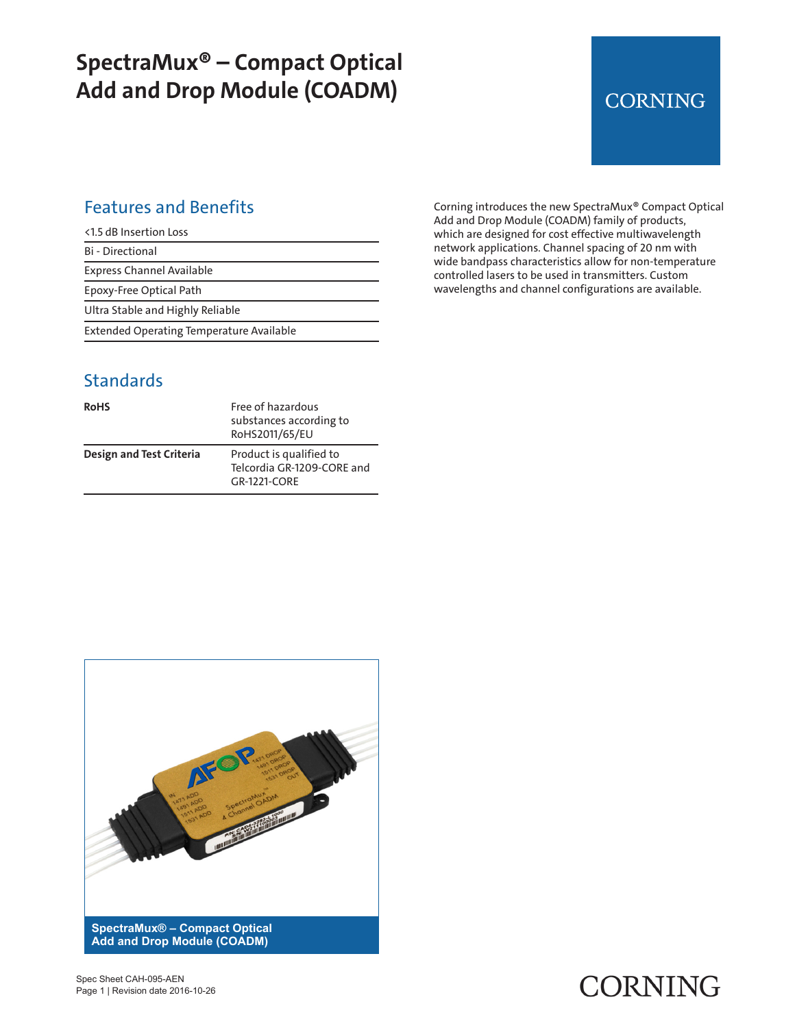## **SpectraMux® – Compact Optical Add and Drop Module (COADM)**

## **CORNING**

#### Features and Benefits

<1.5 dB Insertion Loss

Bi - Directional

Express Channel Available

Epoxy-Free Optical Path

Ultra Stable and Highly Reliable

Extended Operating Temperature Available

#### **Standards**

| <b>RoHS</b>              | Free of hazardous<br>substances according to<br>RoHS2011/65/EU        |
|--------------------------|-----------------------------------------------------------------------|
| Design and Test Criteria | Product is qualified to<br>Telcordia GR-1209-CORE and<br>GR-1221-CORF |

Corning introduces the new SpectraMux® Compact Optical Add and Drop Module (COADM) family of products, which are designed for cost effective multiwavelength network applications. Channel spacing of 20 nm with wide bandpass characteristics allow for non-temperature controlled lasers to be used in transmitters. Custom wavelengths and channel configurations are available.



# CORNING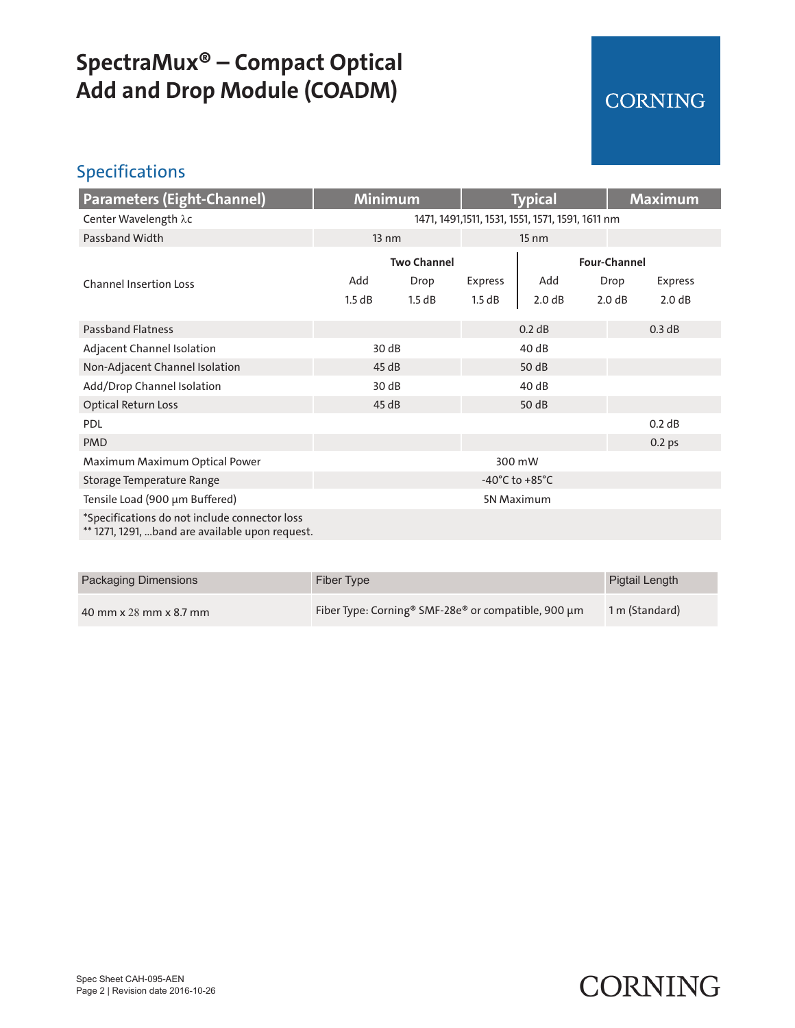## **SpectraMux® – Compact Optical Add and Drop Module (COADM)**

### CORNING

### Specifications

| Parameters (Eight-Channel)                                                                       | <b>Minimum</b>                                    |        | <b>Typical</b>  |              |        | <b>Maximum</b>    |  |
|--------------------------------------------------------------------------------------------------|---------------------------------------------------|--------|-----------------|--------------|--------|-------------------|--|
| Center Wavelength λc                                                                             | 1471, 1491, 1511, 1531, 1551, 1571, 1591, 1611 nm |        |                 |              |        |                   |  |
| Passband Width                                                                                   | 13 nm                                             |        | $15 \text{ nm}$ |              |        |                   |  |
|                                                                                                  | <b>Two Channel</b>                                |        |                 | Four-Channel |        |                   |  |
| <b>Channel Insertion Loss</b>                                                                    | Add                                               | Drop   | <b>Express</b>  | Add          | Drop   | <b>Express</b>    |  |
|                                                                                                  | 1.5 dB                                            | 1.5 dB | 1.5 dB          | 2.0 dB       | 2.0 dB | 2.0 dB            |  |
| <b>Passband Flatness</b>                                                                         |                                                   |        |                 | 0.2 dB       |        | 0.3 dB            |  |
| Adjacent Channel Isolation                                                                       | 30 dB                                             |        | 40 dB           |              |        |                   |  |
| Non-Adjacent Channel Isolation                                                                   | 45dB                                              |        | 50 dB           |              |        |                   |  |
| Add/Drop Channel Isolation                                                                       | 30dB                                              |        |                 | 40 dB        |        |                   |  |
| <b>Optical Return Loss</b>                                                                       | 45dB                                              |        |                 | 50 dB        |        |                   |  |
| PDL                                                                                              |                                                   |        |                 |              |        | 0.2 dB            |  |
| <b>PMD</b>                                                                                       |                                                   |        |                 |              |        | 0.2 <sub>ps</sub> |  |
| Maximum Maximum Optical Power                                                                    | 300 mW                                            |        |                 |              |        |                   |  |
| Storage Temperature Range                                                                        | -40 $^{\circ}$ C to +85 $^{\circ}$ C              |        |                 |              |        |                   |  |
| Tensile Load (900 µm Buffered)                                                                   | 5N Maximum                                        |        |                 |              |        |                   |  |
| *Specifications do not include connector loss<br>** 1271, 1291, band are available upon request. |                                                   |        |                 |              |        |                   |  |

| Packaging Dimensions   | Fiber Type                                                      | Pigtail Length |
|------------------------|-----------------------------------------------------------------|----------------|
| 40 mm x 28 mm x 8.7 mm | Fiber Type: Corning <sup>®</sup> SMF-28e® or compatible, 900 µm | 1 m (Standard) |